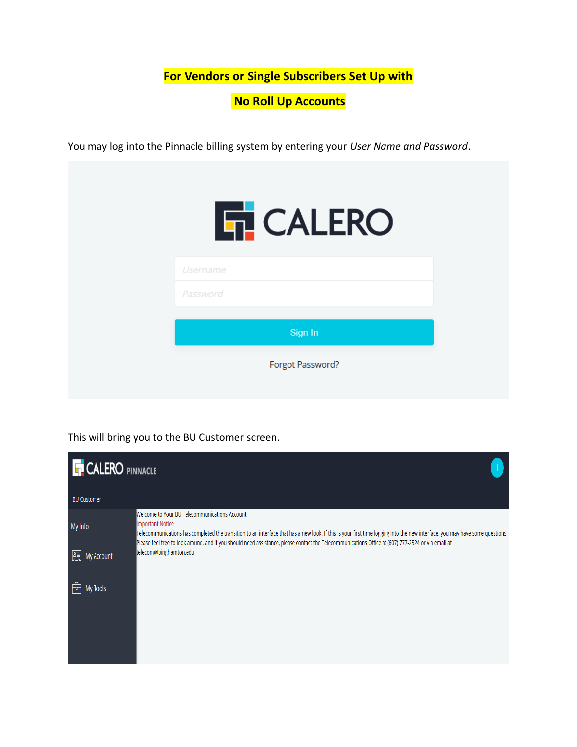**For Vendors or Single Subscribers Set Up with**

**No Roll Up Accounts**

You may log into the Pinnacle billing system by entering your *User Name and Password*.



This will bring you to the BU Customer screen.

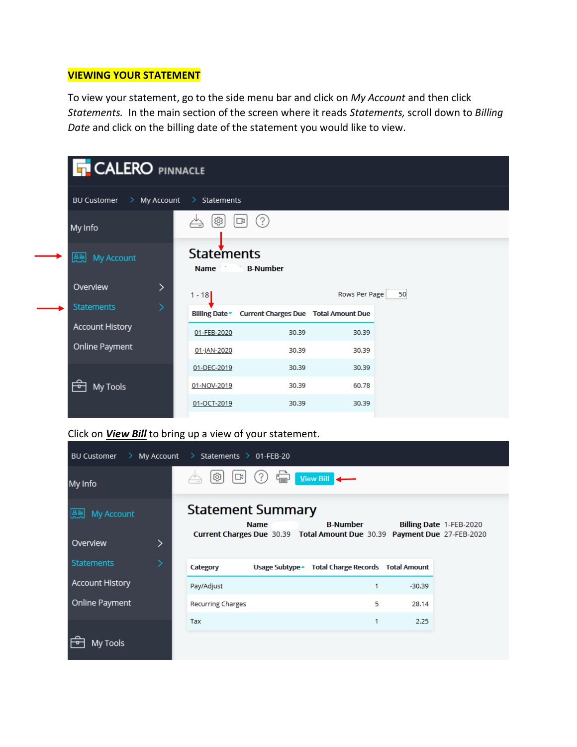# **VIEWING YOUR STATEMENT**

To view your statement, go to the side menu bar and click on *My Account* and then click *Statements.* In the main section of the screen where it reads *Statements,* scroll down to *Billing Date* and click on the billing date of the statement you would like to view.

| <b>T CALERO PINNACLE</b>                  |                                  |                                             |               |    |  |  |
|-------------------------------------------|----------------------------------|---------------------------------------------|---------------|----|--|--|
| <b>BU Customer</b><br>My Account<br>- > - | $\geq$ Statements                |                                             |               |    |  |  |
| My Info                                   | ම                                | (5)<br>$\mathbb{R}$                         |               |    |  |  |
| My Account<br>鴎                           | <b>Statements</b><br><b>Name</b> | <b>B-Number</b>                             |               |    |  |  |
| Overview<br>⋋                             | $1 - 18$                         |                                             | Rows Per Page | 50 |  |  |
| <b>Statements</b>                         | <b>Billing Date</b>              | <b>Current Charges Due Total Amount Due</b> |               |    |  |  |
| <b>Account History</b>                    | 01-FEB-2020                      | 30.39                                       | 30.39         |    |  |  |
| <b>Online Payment</b>                     | 01-JAN-2020                      | 30.39                                       | 30.39         |    |  |  |
|                                           | 01-DEC-2019                      | 30.39                                       | 30.39         |    |  |  |
| My Tools                                  | 01-NOV-2019                      | 30.39                                       | 60.78         |    |  |  |
|                                           | 01-OCT-2019                      | 30.39                                       | 30.39         |    |  |  |

# Click on *View Bill* to bring up a view of your statement.

| $>$ My Account<br><b>BU Customer</b>     | $\rightarrow$ Statements $\rightarrow$ 01-FEB-20 |             |                                                                                             |          |                         |
|------------------------------------------|--------------------------------------------------|-------------|---------------------------------------------------------------------------------------------|----------|-------------------------|
| My Info                                  | ලා<br>$\mathbb{R}$                               |             | View Bill                                                                                   |          |                         |
| 용화<br><b>My Account</b><br>Overview<br>⋋ | <b>Statement Summary</b>                         | <b>Name</b> | <b>B-Number</b><br>Current Charges Due 30.39 Total Amount Due 30.39 Payment Due 27-FEB-2020 |          | Billing Date 1-FEB-2020 |
| <b>Statements</b>                        | Category                                         |             | Usage Subtype - Total Charge Records Total Amount                                           |          |                         |
| <b>Account History</b>                   | Pay/Adjust                                       |             | 1                                                                                           | $-30.39$ |                         |
| <b>Online Payment</b>                    | <b>Recurring Charges</b>                         |             | 5                                                                                           | 28.14    |                         |
|                                          | Tax                                              |             | 1                                                                                           | 2.25     |                         |
| My Tools                                 |                                                  |             |                                                                                             |          |                         |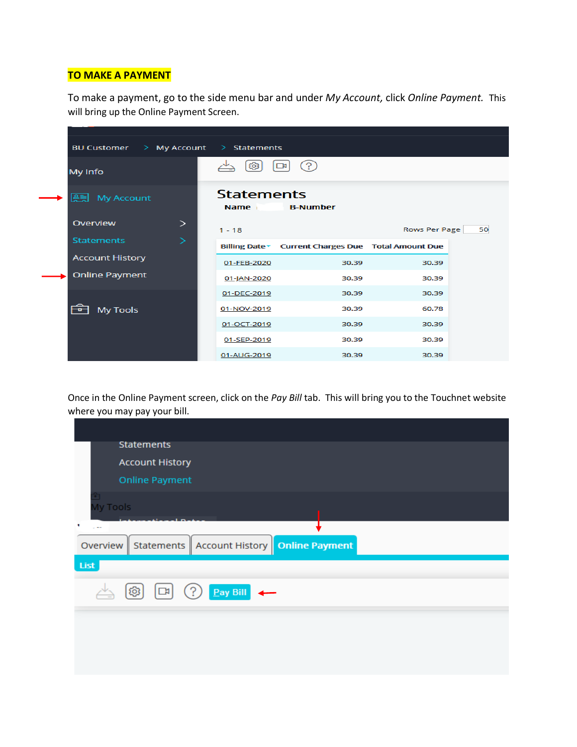## **TO MAKE A PAYMENT**

÷

To make a payment, go to the side menu bar and under *My Account,* click *Online Payment.* This will bring up the Online Payment Screen.

| <b>BU Customer</b>      | $\geq$ | My Account $\Rightarrow$ Statements |                                                   |               |    |
|-------------------------|--------|-------------------------------------|---------------------------------------------------|---------------|----|
| My Info                 |        | ශ                                   | ( ? )<br>$\overline{\mathbf{r}}$                  |               |    |
| 용퇴<br><b>My Account</b> |        | <b>Statements</b><br>Name i         | <b>B-Number</b>                                   |               |    |
| Overview                | >      | $1 - 18$                            |                                                   | Rows Per Page | 50 |
| <b>Statements</b>       | >      |                                     | Billing Date Current Charges Due Total Amount Due |               |    |
| <b>Account History</b>  |        | 01-FEB-2020                         | 30.39                                             | 30.39         |    |
| <b>Online Payment</b>   |        | 01-JAN-2020                         | 30.39                                             | 30.39         |    |
|                         |        | 01-DEC-2019                         | 30.39                                             | 30.39         |    |
| <b>My Tools</b>         |        | 01-NOV-2019                         | 30.39                                             | 60.78         |    |
|                         |        | 01-OCT-2019                         | 30.39                                             | 30.39         |    |
|                         |        | 01-SEP-2019                         | 30.39                                             | 30.39         |    |
|                         |        | 01-AUG-2019                         | 30.39                                             | 30.39         |    |

Once in the Online Payment screen, click on the *Pay Bill* tab. This will bring you to the Touchnet website where you may pay your bill.

| <b>Statements</b>                                                             |  |
|-------------------------------------------------------------------------------|--|
| <b>Account History</b>                                                        |  |
| <b>Online Payment</b>                                                         |  |
| My Tools                                                                      |  |
| ٠<br>$\sim$ $ -$                                                              |  |
| Statements   Account History   Online Payment<br>Overview                     |  |
| List                                                                          |  |
| Pay Bill<br>[@] [[]<br>$\left( \begin{matrix} . \ . \ . \end{matrix} \right)$ |  |
|                                                                               |  |
|                                                                               |  |
|                                                                               |  |
|                                                                               |  |
|                                                                               |  |